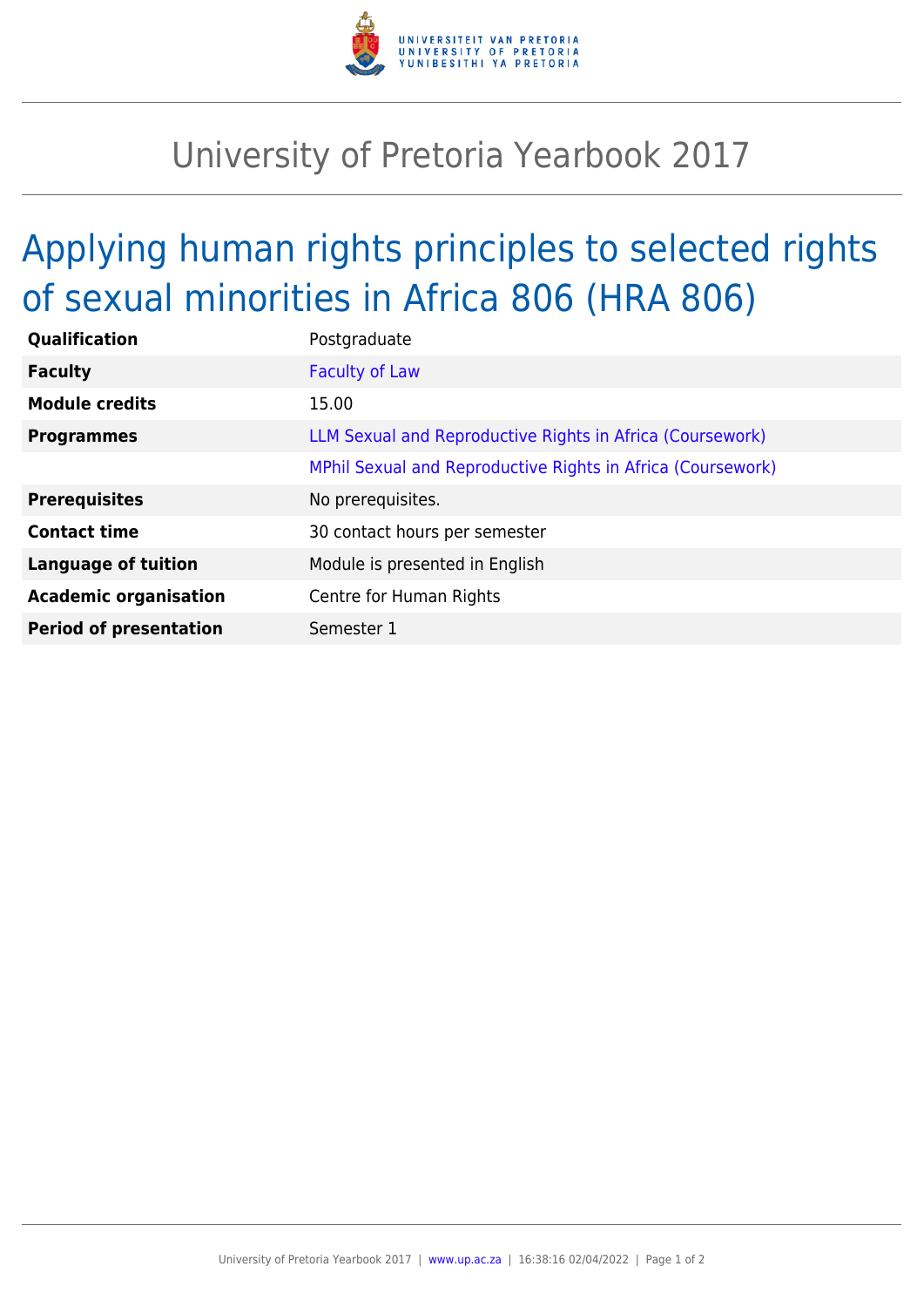

## University of Pretoria Yearbook 2017

## Applying human rights principles to selected rights of sexual minorities in Africa 806 (HRA 806)

| Postgraduate                                                |
|-------------------------------------------------------------|
| <b>Faculty of Law</b>                                       |
| 15.00                                                       |
| LLM Sexual and Reproductive Rights in Africa (Coursework)   |
| MPhil Sexual and Reproductive Rights in Africa (Coursework) |
| No prerequisites.                                           |
| 30 contact hours per semester                               |
| Module is presented in English                              |
| Centre for Human Rights                                     |
| Semester 1                                                  |
|                                                             |